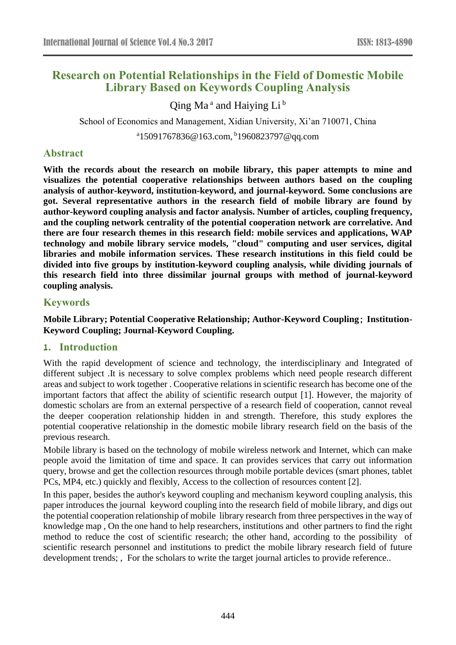# **Research on Potential Relationships in the Field of Domestic Mobile Library Based on Keywords Coupling Analysis**

Qing Ma<sup>a</sup> and Haiying Li<sup>b</sup>

School of Economics and Management, Xidian University, Xi'an 710071, China

<sup>a</sup>15091767836@163.com, <sup>b</sup>1960823797@qq.com

# **Abstract**

**With the records about the research on mobile library, this paper attempts to mine and visualizes the potential cooperative relationships between authors based on the coupling analysis of author-keyword, institution-keyword, and journal-keyword. Some conclusions are got. Several representative authors in the research field of mobile library are found by author-keyword coupling analysis and factor analysis. Number of articles, coupling frequency, and the coupling network centrality of the potential cooperation network are correlative. And there are four research themes in this research field: mobile services and applications, WAP technology and mobile library service models, "cloud" computing and user services, digital libraries and mobile information services. These research institutions in this field could be divided into five groups by institution-keyword coupling analysis, while dividing journals of this research field into three dissimilar journal groups with method of journal-keyword coupling analysis.**

# **Keywords**

### **Mobile Library; Potential Cooperative Relationship; Author-Keyword Coupling**; **Institution-Keyword Coupling; Journal-Keyword Coupling.**

### **1. Introduction**

With the rapid development of science and technology, the interdisciplinary and Integrated of different subject .It is necessary to solve complex problems which need people research different areas and subject to work together . Cooperative relations in scientific research has become one of the important factors that affect the ability of scientific research output [1]. However, the majority of domestic scholars are from an external perspective of a research field of cooperation, cannot reveal the deeper cooperation relationship hidden in and strength. Therefore, this study explores the potential cooperative relationship in the domestic mobile library research field on the basis of the previous research.

Mobile library is based on the technology of mobile wireless network and Internet, which can make people avoid the limitation of time and space. It can provides services that carry out information query, browse and get the collection resources through mobile portable devices (smart phones, tablet PCs, MP4, etc.) quickly and flexibly, Access to the collection of resources content [2].

In this paper, besides the author's keyword coupling and mechanism keyword coupling analysis, this paper introduces the journal keyword coupling into the research field of mobile library, and digs out the potential cooperation relationship of mobile library research from three perspectives in the way of knowledge map , On the one hand to help researchers, institutions and other partners to find the right method to reduce the cost of scientific research; the other hand, according to the possibility of scientific research personnel and institutions to predict the mobile library research field of future development trends; , For the scholars to write the target journal articles to provide reference..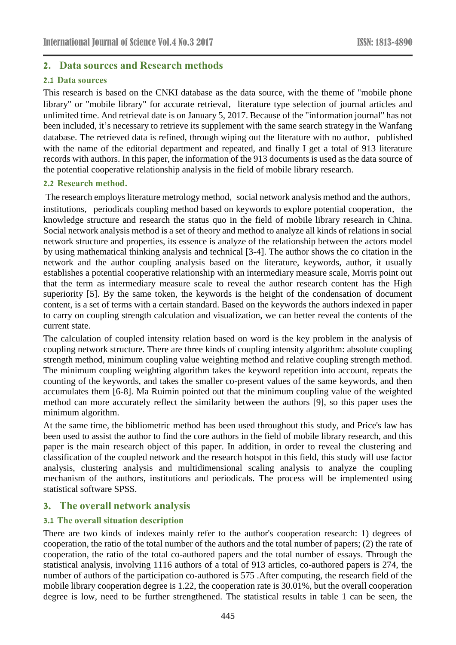# **2. Data sources and Research methods**

#### **2.1 Data sources**

This research is based on the CNKI database as the data source, with the theme of "mobile phone library" or "mobile library" for accurate retrieval, literature type selection of journal articles and unlimited time. And retrieval date is on January 5, 2017. Because of the "information journal" has not been included, it's necessary to retrieve its supplement with the same search strategy in the Wanfang database. The retrieved data is refined, through wiping out the literature with no author, published with the name of the editorial department and repeated, and finally I get a total of 913 literature records with authors. In this paper, the information of the 913 documents is used as the data source of the potential cooperative relationship analysis in the field of mobile library research.

#### **2.2 Research method.**

The research employs literature metrology method, social network analysis method and the authors, institutions, periodicals coupling method based on keywords to explore potential cooperation, the knowledge structure and research the status quo in the field of mobile library research in China. Social network analysis method is a set of theory and method to analyze all kinds of relations in social network structure and properties, its essence is analyze of the relationship between the actors model by using mathematical thinking analysis and technical [3-4]. The author shows the co citation in the network and the author coupling analysis based on the literature, keywords, author, it usually establishes a potential cooperative relationship with an intermediary measure scale, Morris point out that the term as intermediary measure scale to reveal the author research content has the High superiority [5]. By the same token, the keywords is the height of the condensation of document content, is a set of terms with a certain standard. Based on the keywords the authors indexed in paper to carry on coupling strength calculation and visualization, we can better reveal the contents of the current state.

The calculation of coupled intensity relation based on word is the key problem in the analysis of coupling network structure. There are three kinds of coupling intensity algorithm: absolute coupling strength method, minimum coupling value weighting method and relative coupling strength method. The minimum coupling weighting algorithm takes the keyword repetition into account, repeats the counting of the keywords, and takes the smaller co-present values of the same keywords, and then accumulates them [6-8]. Ma Ruimin pointed out that the minimum coupling value of the weighted method can more accurately reflect the similarity between the authors [9], so this paper uses the minimum algorithm.

At the same time, the bibliometric method has been used throughout this study, and Price's law has been used to assist the author to find the core authors in the field of mobile library research, and this paper is the main research object of this paper. In addition, in order to reveal the clustering and classification of the coupled network and the research hotspot in this field, this study will use factor analysis, clustering analysis and multidimensional scaling analysis to analyze the coupling mechanism of the authors, institutions and periodicals. The process will be implemented using statistical software SPSS.

# **3. The overall network analysis**

### **3.1 The overall situation description**

There are two kinds of indexes mainly refer to the author's cooperation research: 1) degrees of cooperation, the ratio of the total number of the authors and the total number of papers; (2) the rate of cooperation, the ratio of the total co-authored papers and the total number of essays. Through the statistical analysis, involving 1116 authors of a total of 913 articles, co-authored papers is 274, the number of authors of the participation co-authored is 575 .After computing, the research field of the mobile library cooperation degree is 1.22, the cooperation rate is 30.01%, but the overall cooperation degree is low, need to be further strengthened. The statistical results in table 1 can be seen, the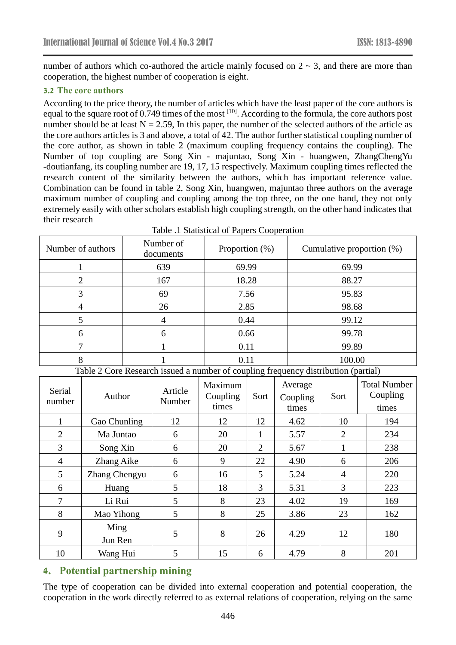number of authors which co-authored the article mainly focused on  $2 \sim 3$ , and there are more than cooperation, the highest number of cooperation is eight.

### **3.2 The core authors**

According to the price theory, the number of articles which have the least paper of the core authors is equal to the square root of 0.749 times of the most <sup>[10]</sup>. According to the formula, the core authors post number should be at least  $N = 2.59$ , In this paper, the number of the selected authors of the article as the core authors articles is 3 and above, a total of 42. The author further statistical coupling number of the core author, as shown in table 2 (maximum coupling frequency contains the coupling). The Number of top coupling are Song Xin - majuntao, Song Xin - huangwen, ZhangChengYu -doutianfang, its coupling number are 19, 17, 15 respectively. Maximum coupling times reflected the research content of the similarity between the authors, which has important reference value. Combination can be found in table 2, Song Xin, huangwen, majuntao three authors on the average maximum number of coupling and coupling among the top three, on the one hand, they not only extremely easily with other scholars establish high coupling strength, on the other hand indicates that their research

| Number of authors | Number of<br>documents | Proportion $(\%)$ | Cumulative proportion (%) |
|-------------------|------------------------|-------------------|---------------------------|
|                   | 639                    | 69.99             | 69.99                     |
|                   | 167                    | 18.28             | 88.27                     |
|                   | 69                     | 7.56              | 95.83                     |
|                   | 26                     | 2.85              | 98.68                     |
|                   | 4                      | 0.44              | 99.12                     |
| 6                 | 6                      | 0.66              | 99.78                     |
|                   |                        | 0.11              | 99.89                     |
|                   |                        | 0.11              | 100.00                    |

Table .1 Statistical of Papers Cooperation

Table 2 Core Research issued a number of coupling frequency distribution (partial)

| Serial<br>number | Author          | Article<br>Number | Maximum<br>Coupling<br>times | Sort           | Average<br>Coupling<br>times | Sort           | <b>Total Number</b><br>Coupling<br>times |
|------------------|-----------------|-------------------|------------------------------|----------------|------------------------------|----------------|------------------------------------------|
|                  | Gao Chunling    | 12                | 12                           | 12             | 4.62                         | 10             | 194                                      |
| $\overline{2}$   | Ma Juntao       | 6                 | 20                           | 1              | 5.57                         | $\overline{2}$ | 234                                      |
| 3                | Song Xin        | 6                 | 20                           | $\overline{2}$ | 5.67                         |                | 238                                      |
| 4                | Zhang Aike      | 6                 | 9                            | 22             | 4.90                         | 6              | 206                                      |
| 5                | Zhang Chengyu   | 6                 | 16                           | 5              | 5.24                         | $\overline{4}$ | 220                                      |
| 6                | Huang           | 5                 | 18                           | 3              | 5.31                         | 3              | 223                                      |
| 7                | Li Rui          | 5                 | 8                            | 23             | 4.02                         | 19             | 169                                      |
| 8                | Mao Yihong      | 5                 | 8                            | 25             | 3.86                         | 23             | 162                                      |
| 9                | Ming<br>Jun Ren | 5                 | 8                            | 26             | 4.29                         | 12             | 180                                      |
| 10               | Wang Hui        | 5                 | 15                           | 6              | 4.79                         | 8              | 201                                      |

# **4. Potential partnership mining**

The type of cooperation can be divided into external cooperation and potential cooperation, the cooperation in the work directly referred to as external relations of cooperation, relying on the same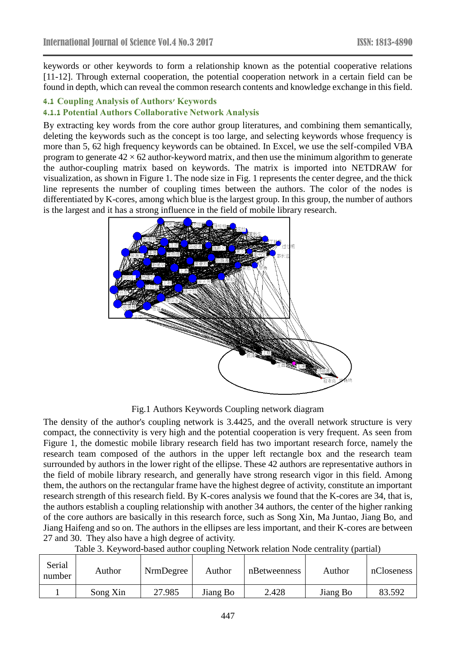keywords or other keywords to form a relationship known as the potential cooperative relations [11-12]. Through external cooperation, the potential cooperation network in a certain field can be found in depth, which can reveal the common research contents and knowledge exchange in this field.

#### **4.1 Coupling Analysis of Authors' Keywords**

### **4.1.1 Potential Authors Collaborative Network Analysis**

By extracting key words from the core author group literatures, and combining them semantically, deleting the keywords such as the concept is too large, and selecting keywords whose frequency is more than 5, 62 high frequency keywords can be obtained. In Excel, we use the self-compiled VBA program to generate  $42 \times 62$  author-keyword matrix, and then use the minimum algorithm to generate the author-coupling matrix based on keywords. The matrix is imported into NETDRAW for visualization, as shown in Figure 1. The node size in Fig. 1 represents the center degree, and the thick line represents the number of coupling times between the authors. The color of the nodes is differentiated by K-cores, among which blue is the largest group. In this group, the number of authors is the largest and it has a strong influence in the field of mobile library research.



#### Fig.1 Authors Keywords Coupling network diagram

The density of the author's coupling network is 3.4425, and the overall network structure is very compact, the connectivity is very high and the potential cooperation is very frequent. As seen from Figure 1, the domestic mobile library research field has two important research force, namely the research team composed of the authors in the upper left rectangle box and the research team surrounded by authors in the lower right of the ellipse. These 42 authors are representative authors in the field of mobile library research, and generally have strong research vigor in this field. Among them, the authors on the rectangular frame have the highest degree of activity, constitute an important research strength of this research field. By K-cores analysis we found that the K-cores are 34, that is, the authors establish a coupling relationship with another 34 authors, the center of the higher ranking of the core authors are basically in this research force, such as Song Xin, Ma Juntao, Jiang Bo, and Jiang Haifeng and so on. The authors in the ellipses are less important, and their K-cores are between 27 and 30. They also have a high degree of activity.

|  |  | Table 3. Keyword-based author coupling Network relation Node centrality (partial) |  |
|--|--|-----------------------------------------------------------------------------------|--|
|  |  |                                                                                   |  |

| Serial<br>number | Author   | NrmDegree | Author   | nBetweenness | Author   | nCloseness |
|------------------|----------|-----------|----------|--------------|----------|------------|
|                  | Song Xin | 27.985    | Jiang Bo | 2.428        | Jiang Bo | 83.592     |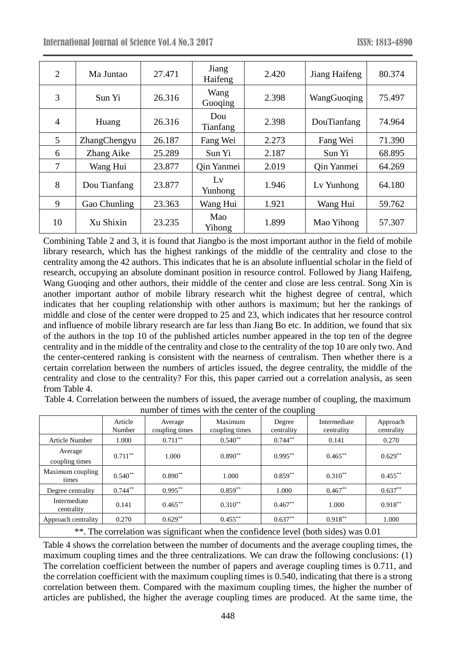| $\overline{2}$ | Ma Juntao    | 27.471 | Jiang<br>Haifeng  | 2.420 | Jiang Haifeng | 80.374 |
|----------------|--------------|--------|-------------------|-------|---------------|--------|
| 3              | Sun Yi       | 26.316 | Wang<br>Guoqing   | 2.398 | WangGuoqing   | 75.497 |
| $\overline{4}$ | Huang        | 26.316 | Dou<br>Tianfang   | 2.398 | DouTianfang   | 74.964 |
| 5              | ZhangChengyu | 26.187 | Fang Wei          | 2.273 | Fang Wei      | 71.390 |
| 6              | Zhang Aike   | 25.289 | Sun Yi            | 2.187 | Sun Yi        | 68.895 |
| $\overline{7}$ | Wang Hui     | 23.877 | <b>Qin Yanmei</b> | 2.019 | Qin Yanmei    | 64.269 |
| 8              | Dou Tianfang | 23.877 | Lv<br>Yunhong     | 1.946 | Ly Yunhong    | 64.180 |
| 9              | Gao Chunling | 23.363 | Wang Hui          | 1.921 | Wang Hui      | 59.762 |
| 10             | Xu Shixin    | 23.235 | Mao<br>Yihong     | 1.899 | Mao Yihong    | 57.307 |

Combining Table 2 and 3, it is found that Jiangbo is the most important author in the field of mobile library research, which has the highest rankings of the middle of the centrality and close to the centrality among the 42 authors. This indicates that he is an absolute influential scholar in the field of research, occupying an absolute dominant position in resource control. Followed by Jiang Haifeng, Wang Guoqing and other authors, their middle of the center and close are less central. Song Xin is another important author of mobile library research whit the highest degree of central, which indicates that her coupling relationship with other authors is maximum; but her the rankings of middle and close of the center were dropped to 25 and 23, which indicates that her resource control and influence of mobile library research are far less than Jiang Bo etc. In addition, we found that six of the authors in the top 10 of the published articles number appeared in the top ten of the degree centrality and in the middle of the centrality and close to the centrality of the top 10 are only two. And the center-centered ranking is consistent with the nearness of centralism. Then whether there is a certain correlation between the numbers of articles issued, the degree centrality, the middle of the centrality and close to the centrality? For this, this paper carried out a correlation analysis, as seen from Table 4.

Table 4. Correlation between the numbers of issued, the average number of coupling, the maximum number of times with the center of the coupling

|                            | Article<br>Number | Average<br>coupling times | Maximum<br>coupling times | Degree<br>centrality | Intermediate<br>centrality | Approach<br>centrality |
|----------------------------|-------------------|---------------------------|---------------------------|----------------------|----------------------------|------------------------|
| <b>Article Number</b>      | 1.000             | $0.711***$                | $0.540**$                 | $0.744**$            | 0.141                      | 0.270                  |
| Average<br>coupling times  | $0.711***$        | 1.000                     | $0.890**$                 | $0.995***$           | $0.465***$                 | $0.629**$              |
| Maximum coupling<br>times  | $0.540**$         | $0.890**$                 | 1.000                     | $0.859**$            | $0.310**$                  | $0.455***$             |
| Degree centrality          | $0.744**$         | $0.995***$                | $0.859**$                 | 1.000                | $0.467**$                  | $0.637**$              |
| Intermediate<br>centrality | 0.141             | $0.465***$                | $0.310**$                 | $0.467**$            | 1.000                      | $0.918***$             |
| Approach centrality        | 0.270             | $0.629**$                 | $0.455***$                | $0.637**$            | $0.918**$                  | 1.000                  |
|                            |                   |                           |                           |                      |                            |                        |

\*\*. The correlation was significant when the confidence level (both sides) was 0.01

Table 4 shows the correlation between the number of documents and the average coupling times, the maximum coupling times and the three centralizations. We can draw the following conclusions: (1) The correlation coefficient between the number of papers and average coupling times is 0.711, and the correlation coefficient with the maximum coupling times is 0.540, indicating that there is a strong correlation between them. Compared with the maximum coupling times, the higher the number of articles are published, the higher the average coupling times are produced. At the same time, the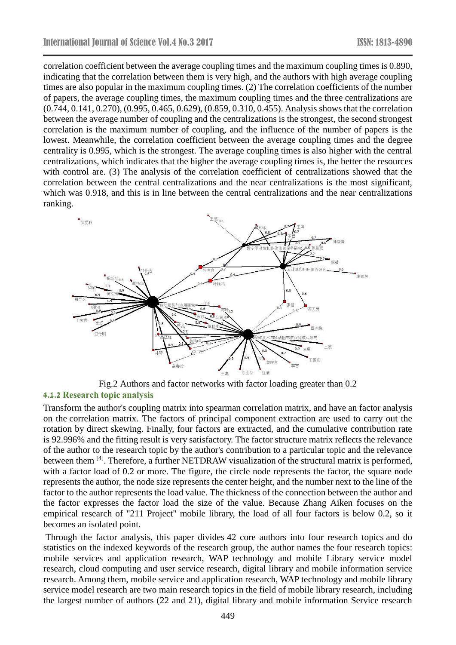correlation coefficient between the average coupling times and the maximum coupling times is 0.890, indicating that the correlation between them is very high, and the authors with high average coupling times are also popular in the maximum coupling times. (2) The correlation coefficients of the number of papers, the average coupling times, the maximum coupling times and the three centralizations are (0.744, 0.141, 0.270), (0.995, 0.465, 0.629), (0.859, 0.310, 0.455). Analysis shows that the correlation between the average number of coupling and the centralizations is the strongest, the second strongest correlation is the maximum number of coupling, and the influence of the number of papers is the lowest. Meanwhile, the correlation coefficient between the average coupling times and the degree centrality is 0.995, which is the strongest. The average coupling times is also higher with the central centralizations, which indicates that the higher the average coupling times is, the better the resources with control are. (3) The analysis of the correlation coefficient of centralizations showed that the correlation between the central centralizations and the near centralizations is the most significant, which was 0.918, and this is in line between the central centralizations and the near centralizations ranking.



Fig.2 Authors and factor networks with factor loading greater than 0.2

#### **4.1.2 Research topic analysis**

Transform the author's coupling matrix into spearman correlation matrix, and have an factor analysis on the correlation matrix. The factors of principal component extraction are used to carry out the rotation by direct skewing. Finally, four factors are extracted, and the cumulative contribution rate is 92.996% and the fitting result is very satisfactory. The factor structure matrix reflects the relevance of the author to the research topic by the author's contribution to a particular topic and the relevance between them <sup>[4]</sup>. Therefore, a further NETDRAW visualization of the structural matrix is performed, with a factor load of 0.2 or more. The figure, the circle node represents the factor, the square node represents the author, the node size represents the center height, and the number next to the line of the factor to the author represents the load value. The thickness of the connection between the author and the factor expresses the factor load the size of the value. Because Zhang Aiken focuses on the empirical research of "211 Project" mobile library, the load of all four factors is below 0.2, so it becomes an isolated point.

Through the factor analysis, this paper divides 42 core authors into four research topics and do statistics on the indexed keywords of the research group, the author names the four research topics: mobile services and application research, WAP technology and mobile Library service model research, cloud computing and user service research, digital library and mobile information service research. Among them, mobile service and application research, WAP technology and mobile library service model research are two main research topics in the field of mobile library research, including the largest number of authors (22 and 21), digital library and mobile information Service research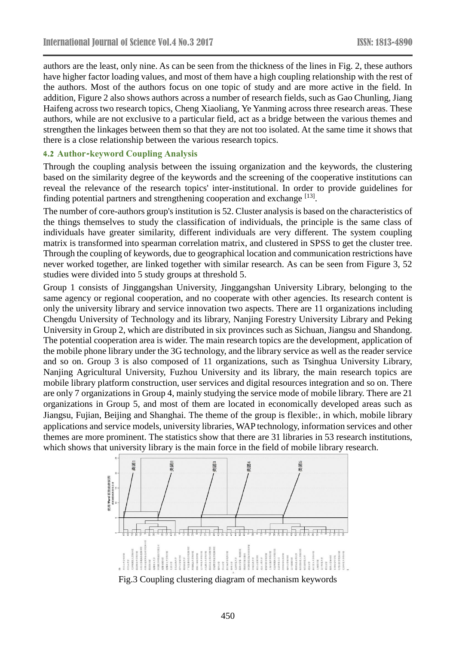authors are the least, only nine. As can be seen from the thickness of the lines in Fig. 2, these authors have higher factor loading values, and most of them have a high coupling relationship with the rest of the authors. Most of the authors focus on one topic of study and are more active in the field. In addition, Figure 2 also shows authors across a number of research fields, such as Gao Chunling, Jiang Haifeng across two research topics, Cheng Xiaoliang, Ye Yanming across three research areas. These authors, while are not exclusive to a particular field, act as a bridge between the various themes and strengthen the linkages between them so that they are not too isolated. At the same time it shows that there is a close relationship between the various research topics.

#### **4.2 Author-keyword Coupling Analysis**

Through the coupling analysis between the issuing organization and the keywords, the clustering based on the similarity degree of the keywords and the screening of the cooperative institutions can reveal the relevance of the research topics' inter-institutional. In order to provide guidelines for finding potential partners and strengthening cooperation and exchange [13].

The number of core-authors group's institution is 52. Cluster analysis is based on the characteristics of the things themselves to study the classification of individuals, the principle is the same class of individuals have greater similarity, different individuals are very different. The system coupling matrix is transformed into spearman correlation matrix, and clustered in SPSS to get the cluster tree. Through the coupling of keywords, due to geographical location and communication restrictions have never worked together, are linked together with similar research. As can be seen from Figure 3, 52 studies were divided into 5 study groups at threshold 5.

Group 1 consists of Jinggangshan University, Jinggangshan University Library, belonging to the same agency or regional cooperation, and no cooperate with other agencies. Its research content is only the university library and service innovation two aspects. There are 11 organizations including Chengdu University of Technology and its library, Nanjing Forestry University Library and Peking University in Group 2, which are distributed in six provinces such as Sichuan, Jiangsu and Shandong. The potential cooperation area is wider. The main research topics are the development, application of the mobile phone library under the 3G technology, and the library service as well as the reader service and so on. Group 3 is also composed of 11 organizations, such as Tsinghua University Library, Nanjing Agricultural University, Fuzhou University and its library, the main research topics are mobile library platform construction, user services and digital resources integration and so on. There are only 7 organizations in Group 4, mainly studying the service mode of mobile library. There are 21 organizations in Group 5, and most of them are located in economically developed areas such as Jiangsu, Fujian, Beijing and Shanghai. The theme of the group is flexible:, in which, mobile library applications and service models, university libraries, WAP technology, information services and other themes are more prominent. The statistics show that there are 31 libraries in 53 research institutions, which shows that university library is the main force in the field of mobile library research.



Fig.3 Coupling clustering diagram of mechanism keywords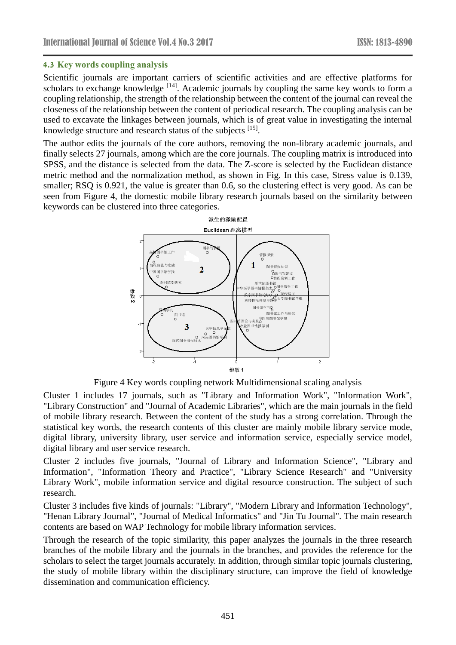#### **4.3 Key words coupling analysis**

Scientific journals are important carriers of scientific activities and are effective platforms for scholars to exchange knowledge  $[14]$ . Academic journals by coupling the same key words to form a coupling relationship, the strength of the relationship between the content of the journal can reveal the closeness of the relationship between the content of periodical research. The coupling analysis can be used to excavate the linkages between journals, which is of great value in investigating the internal knowledge structure and research status of the subjects [15].

The author edits the journals of the core authors, removing the non-library academic journals, and finally selects 27 journals, among which are the core journals. The coupling matrix is introduced into SPSS, and the distance is selected from the data. The Z-score is selected by the Euclidean distance metric method and the normalization method, as shown in Fig. In this case, Stress value is 0.139, smaller; RSQ is 0.921, the value is greater than 0.6, so the clustering effect is very good. As can be seen from Figure 4, the domestic mobile library research journals based on the similarity between keywords can be clustered into three categories.



Figure 4 Key words coupling network Multidimensional scaling analysis

Cluster 1 includes 17 journals, such as "Library and Information Work", "Information Work", "Library Construction" and "Journal of Academic Libraries", which are the main journals in the field of mobile library research. Between the content of the study has a strong correlation. Through the statistical key words, the research contents of this cluster are mainly mobile library service mode, digital library, university library, user service and information service, especially service model, digital library and user service research.

Cluster 2 includes five journals, "Journal of Library and Information Science", "Library and Information", "Information Theory and Practice", "Library Science Research" and "University Library Work", mobile information service and digital resource construction. The subject of such research.

Cluster 3 includes five kinds of journals: "Library", "Modern Library and Information Technology", "Henan Library Journal", "Journal of Medical Informatics" and "Jin Tu Journal". The main research contents are based on WAP Technology for mobile library information services.

Through the research of the topic similarity, this paper analyzes the journals in the three research branches of the mobile library and the journals in the branches, and provides the reference for the scholars to select the target journals accurately. In addition, through similar topic journals clustering, the study of mobile library within the disciplinary structure, can improve the field of knowledge dissemination and communication efficiency.